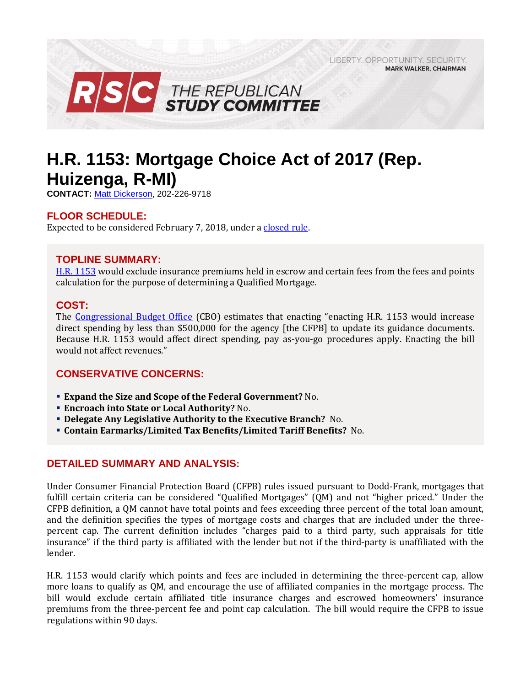LIBERTY, OPPORTUNITY, SECURITY, **MARK WALKER, CHAIRMAN** 



# **H.R. 1153: Mortgage Choice Act of 2017 (Rep. Huizenga, R-MI)**

**CONTACT:** [Matt Dickerson,](mailto:Matthew.Dickerson@mail.house.gov) 202-226-9718

# **FLOOR SCHEDULE:**

Expected to be considered February 7, 2018, under a [closed rule.](https://rules.house.gov/bill/115/hr-1153)

## **TOPLINE SUMMARY:**

[H.R. 1153](https://www.gpo.gov/fdsys/pkg/BILLS-115hr1153rh/pdf/BILLS-115hr1153rh.pdf) would exclude insurance premiums held in escrow and certain fees from the fees and points calculation for the purpose of determining a Qualified Mortgage.

## **COST:**

The [Congressional Budget Office](https://www.cbo.gov/system/files/115th-congress-2017-2018/costestimate/hr1153.pdf) (CBO) estimates that enacting "enacting H.R. 1153 would increase direct spending by less than \$500,000 for the agency [the CFPB] to update its guidance documents. Because H.R. 1153 would affect direct spending, pay as-you-go procedures apply. Enacting the bill would not affect revenues."

# **CONSERVATIVE CONCERNS:**

- **Expand the Size and Scope of the Federal Government?** No.
- **Encroach into State or Local Authority?** No.
- **Delegate Any Legislative Authority to the Executive Branch?** No.
- **Contain Earmarks/Limited Tax Benefits/Limited Tariff Benefits?** No.

# **DETAILED SUMMARY AND ANALYSIS:**

Under Consumer Financial Protection Board (CFPB) rules issued pursuant to Dodd-Frank, mortgages that fulfill certain criteria can be considered "Qualified Mortgages" (QM) and not "higher priced." Under the CFPB definition, a QM cannot have total points and fees exceeding three percent of the total loan amount, and the definition specifies the types of mortgage costs and charges that are included under the threepercent cap. The current definition includes "charges paid to a third party, such appraisals for title insurance" if the third party is affiliated with the lender but not if the third-party is unaffiliated with the lender.

H.R. 1153 would clarify which points and fees are included in determining the three-percent cap, allow more loans to qualify as QM, and encourage the use of affiliated companies in the mortgage process. The bill would exclude certain affiliated title insurance charges and escrowed homeowners' insurance premiums from the three-percent fee and point cap calculation. The bill would require the CFPB to issue regulations within 90 days.